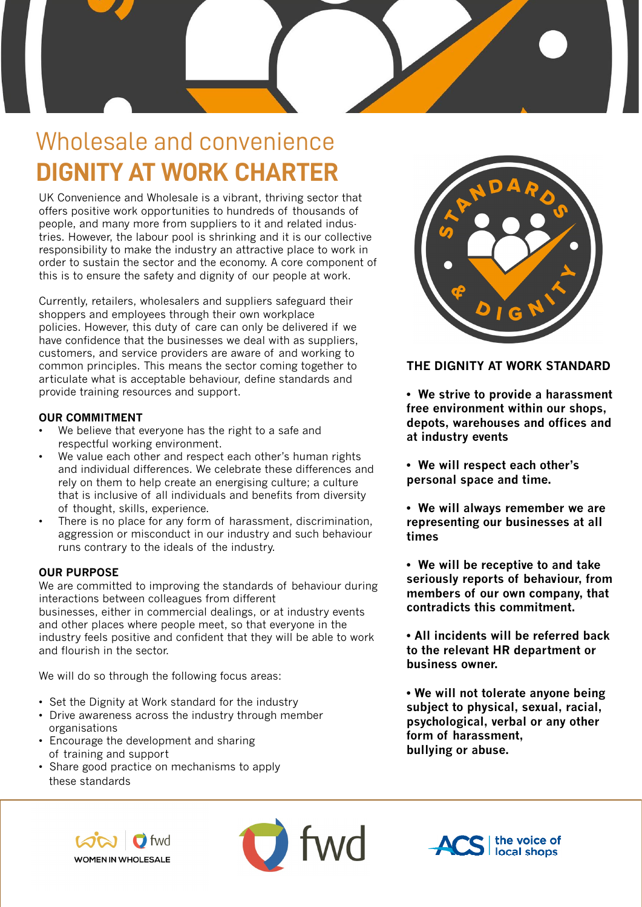

## Wholesale and convenience **DIGNITY AT WORK CHARTER**

UK Convenience and Wholesale is a vibrant, thriving sector that offers positive work opportunities to hundreds of thousands of people, and many more from suppliers to it and related industries. However, the labour pool is shrinking and it is our collective responsibility to make the industry an attractive place to work in order to sustain the sector and the economy. A core component of this is to ensure the safety and dignity of our people at work.

Currently, retailers, wholesalers and suppliers safeguard their shoppers and employees through their own workplace policies. However, this duty of care can only be delivered if we have confidence that the businesses we deal with as suppliers, customers, and service providers are aware of and working to common principles. This means the sector coming together to articulate what is acceptable behaviour, define standards and provide training resources and support.

### **OUR COMMITMENT**

- We believe that everyone has the right to a safe and respectful working environment.
- We value each other and respect each other's human rights and individual differences. We celebrate these differences and rely on them to help create an energising culture; a culture that is inclusive of all individuals and benefits from diversity of thought, skills, experience.
- There is no place for any form of harassment, discrimination, aggression or misconduct in our industry and such behaviour runs contrary to the ideals of the industry.

### **OUR PURPOSE**

We are committed to improving the standards of behaviour during interactions between colleagues from different

businesses, either in commercial dealings, or at industry events and other places where people meet, so that everyone in the industry feels positive and confident that they will be able to work and flourish in the sector.

We will do so through the following focus areas:

- Set the Dignity at Work standard for the industry
- Drive awareness across the industry through member organisations
- Encourage the development and sharing of training and support
- Share good practice on mechanisms to apply these standards



### **THE DIGNITY AT WORK STANDARD**

**• We strive to provide a harassment free environment within our shops, depots, warehouses and offices and at industry events** 

**• We will respect each other's personal space and time.**

**• We will always remember we are representing our businesses at all times**

**• We will be receptive to and take seriously reports of behaviour, from members of our own company, that contradicts this commitment.**

**• All incidents will be referred back to the relevant HR department or business owner.**

**• We will not tolerate anyone being subject to physical, sexual, racial, psychological, verbal or any other form of harassment, bullying or abuse.** 





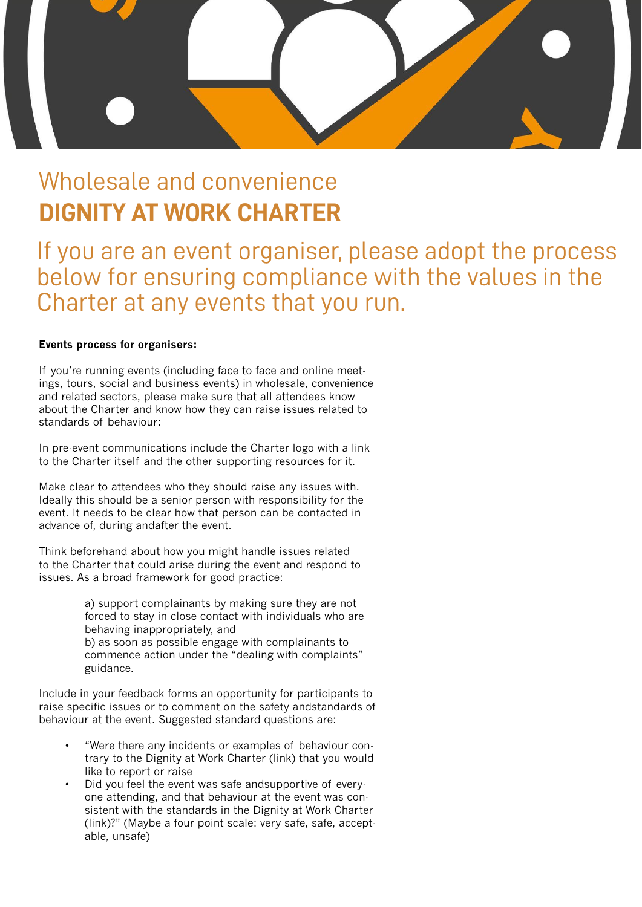

### Wholesale and convenience **DIGNITY AT WORK CHARTER**

If you are an event organiser, please adopt the process below for ensuring compliance with the values in the Charter at any events that you run.

### **Events process for organisers:**

If you're running events (including face to face and online meetings, tours, social and business events) in wholesale, convenience and related sectors, please make sure that all attendees know about the Charter and know how they can raise issues related to standards of behaviour:

In pre-event communications include the Charter logo with a link to the Charter itself and the other supporting resources for it.

Make clear to attendees who they should raise any issues with. Ideally this should be a senior person with responsibility for the event. It needs to be clear how that person can be contacted in advance of, during andafter the event.

Think beforehand about how you might handle issues related to the Charter that could arise during the event and respond to issues. As a broad framework for good practice:

> a) support complainants by making sure they are not forced to stay in close contact with individuals who are behaving inappropriately, and b) as soon as possible engage with complainants to commence action under the "dealing with complaints" guidance.

Include in your feedback forms an opportunity for participants to raise specific issues or to comment on the safety andstandards of behaviour at the event. Suggested standard questions are:

- "Were there any incidents or examples of behaviour contrary to the Dignity at Work Charter (link) that you would like to report or raise
- Did you feel the event was safe andsupportive of everyone attending, and that behaviour at the event was consistent with the standards in the Dignity at Work Charter (link)?" (Maybe a four point scale: very safe, safe, acceptable, unsafe)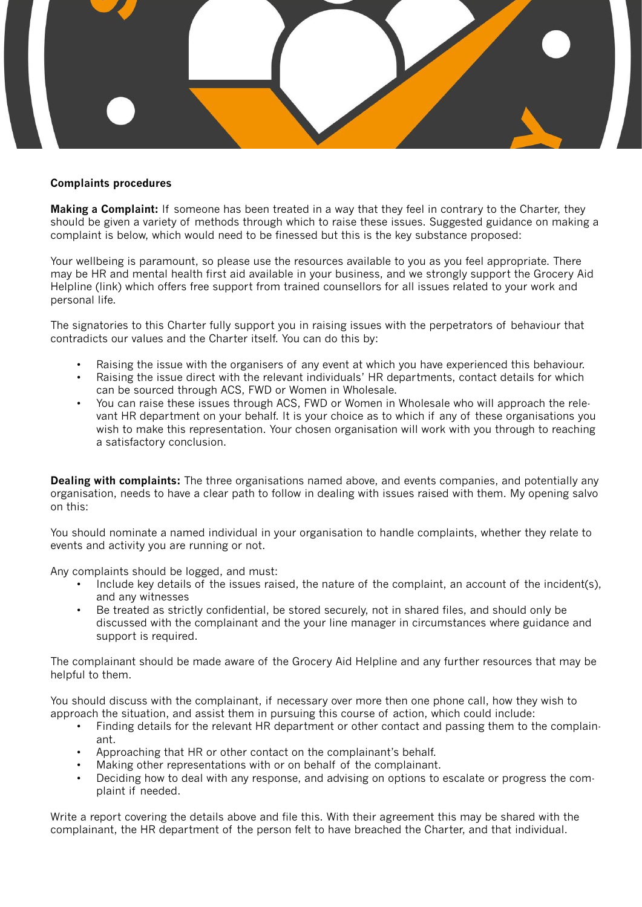

#### **Complaints procedures**

**Making a Complaint:** If someone has been treated in a way that they feel in contrary to the Charter, they should be given a variety of methods through which to raise these issues. Suggested guidance on making a complaint is below, which would need to be finessed but this is the key substance proposed:

Your wellbeing is paramount, so please use the resources available to you as you feel appropriate. There may be HR and mental health first aid available in your business, and we strongly support the Grocery Aid Helpline (link) which offers free support from trained counsellors for all issues related to your work and personal life.

The signatories to this Charter fully support you in raising issues with the perpetrators of behaviour that contradicts our values and the Charter itself. You can do this by:

- Raising the issue with the organisers of any event at which you have experienced this behaviour.
- Raising the issue direct with the relevant individuals' HR departments, contact details for which can be sourced through ACS, FWD or Women in Wholesale.
- You can raise these issues through ACS, FWD or Women in Wholesale who will approach the relevant HR department on your behalf. It is your choice as to which if any of these organisations you wish to make this representation. Your chosen organisation will work with you through to reaching a satisfactory conclusion.

**Dealing with complaints:** The three organisations named above, and events companies, and potentially any organisation, needs to have a clear path to follow in dealing with issues raised with them. My opening salvo on this:

You should nominate a named individual in your organisation to handle complaints, whether they relate to events and activity you are running or not.

Any complaints should be logged, and must:

- Include key details of the issues raised, the nature of the complaint, an account of the incident(s), and any witnesses
- Be treated as strictly confidential, be stored securely, not in shared files, and should only be discussed with the complainant and the your line manager in circumstances where guidance and support is required.

The complainant should be made aware of the Grocery Aid Helpline and any further resources that may be helpful to them.

You should discuss with the complainant, if necessary over more then one phone call, how they wish to approach the situation, and assist them in pursuing this course of action, which could include:

- Finding details for the relevant HR department or other contact and passing them to the complainant.
- Approaching that HR or other contact on the complainant's behalf.
- Making other representations with or on behalf of the complainant.
- Deciding how to deal with any response, and advising on options to escalate or progress the complaint if needed.

Write a report covering the details above and file this. With their agreement this may be shared with the complainant, the HR department of the person felt to have breached the Charter, and that individual.